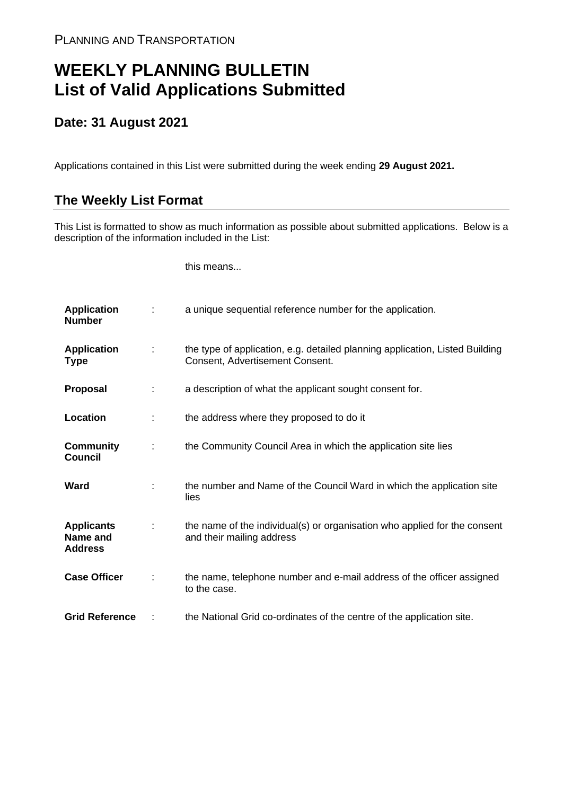## **WEEKLY PLANNING BULLETIN List of Valid Applications Submitted**

## **Date: 31 August 2021**

Applications contained in this List were submitted during the week ending **29 August 2021.**

## **The Weekly List Format**

This List is formatted to show as much information as possible about submitted applications. Below is a description of the information included in the List:

this means...

| <b>Application</b><br><b>Number</b>             |   | a unique sequential reference number for the application.                                                       |
|-------------------------------------------------|---|-----------------------------------------------------------------------------------------------------------------|
| <b>Application</b><br>Type                      | ÷ | the type of application, e.g. detailed planning application, Listed Building<br>Consent, Advertisement Consent. |
| <b>Proposal</b>                                 |   | a description of what the applicant sought consent for.                                                         |
| Location                                        | ÷ | the address where they proposed to do it                                                                        |
| <b>Community</b><br><b>Council</b>              | ÷ | the Community Council Area in which the application site lies                                                   |
| Ward                                            |   | the number and Name of the Council Ward in which the application site<br>lies                                   |
| <b>Applicants</b><br>Name and<br><b>Address</b> |   | the name of the individual(s) or organisation who applied for the consent<br>and their mailing address          |
| <b>Case Officer</b>                             |   | the name, telephone number and e-mail address of the officer assigned<br>to the case.                           |
| <b>Grid Reference</b>                           |   | the National Grid co-ordinates of the centre of the application site.                                           |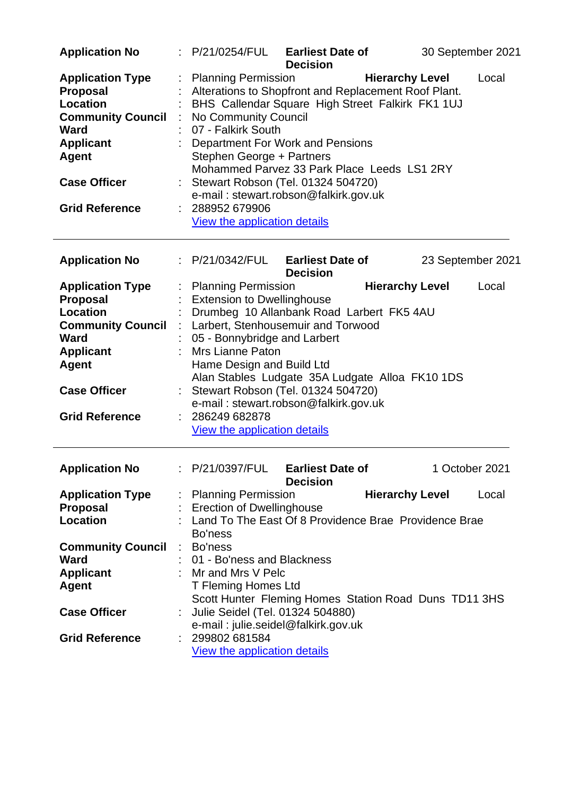| <b>Application No</b>                                                                                                                                               | t. | P/21/0254/FUL                                                                                                                                                                                 | <b>Earliest Date of</b><br><b>Decision</b>                                                                                                                                                  |                        | 30 September 2021 |
|---------------------------------------------------------------------------------------------------------------------------------------------------------------------|----|-----------------------------------------------------------------------------------------------------------------------------------------------------------------------------------------------|---------------------------------------------------------------------------------------------------------------------------------------------------------------------------------------------|------------------------|-------------------|
| <b>Application Type</b><br><b>Proposal</b><br><b>Location</b><br><b>Community Council</b><br><b>Ward</b><br><b>Applicant</b><br><b>Agent</b><br><b>Case Officer</b> |    | <b>Planning Permission</b><br>No Community Council<br>07 - Falkirk South<br>Stephen George + Partners<br>Stewart Robson (Tel. 01324 504720)                                                   | Alterations to Shopfront and Replacement Roof Plant.<br>BHS Callendar Square High Street Falkirk FK1 1UJ<br>Department For Work and Pensions<br>Mohammed Parvez 33 Park Place Leeds LS1 2RY | <b>Hierarchy Level</b> | Local             |
| <b>Grid Reference</b>                                                                                                                                               |    | 288952 679906<br>View the application details                                                                                                                                                 | e-mail: stewart.robson@falkirk.gov.uk                                                                                                                                                       |                        |                   |
| <b>Application No</b>                                                                                                                                               |    | : P/21/0342/FUL Earliest Date of                                                                                                                                                              | <b>Decision</b>                                                                                                                                                                             |                        | 23 September 2021 |
| <b>Application Type</b><br>Proposal<br><b>Location</b><br><b>Community Council</b><br>Ward<br><b>Applicant</b><br><b>Agent</b>                                      |    | <b>Planning Permission</b><br><b>Extension to Dwellinghouse</b><br>Larbert, Stenhousemuir and Torwood<br>05 - Bonnybridge and Larbert<br><b>Mrs Lianne Paton</b><br>Hame Design and Build Ltd | Drumbeg 10 Allanbank Road Larbert FK5 4AU                                                                                                                                                   | <b>Hierarchy Level</b> | Local             |
| <b>Case Officer</b>                                                                                                                                                 |    | Stewart Robson (Tel. 01324 504720)                                                                                                                                                            | Alan Stables Ludgate 35A Ludgate Alloa FK10 1DS<br>e-mail: stewart.robson@falkirk.gov.uk                                                                                                    |                        |                   |
| <b>Grid Reference</b>                                                                                                                                               |    | 286249 682878<br>View the application details                                                                                                                                                 |                                                                                                                                                                                             |                        |                   |
| <b>Application No</b>                                                                                                                                               |    | P/21/0397/FUL                                                                                                                                                                                 | <b>Earliest Date of</b><br><b>Decision</b>                                                                                                                                                  |                        | 1 October 2021    |
| <b>Application Type</b><br><b>Proposal</b><br><b>Location</b>                                                                                                       |    | <b>Planning Permission</b><br><b>Erection of Dwellinghouse</b><br>Land To The East Of 8 Providence Brae Providence Brae<br>Bo'ness                                                            |                                                                                                                                                                                             | <b>Hierarchy Level</b> | Local             |
| <b>Community Council</b><br><b>Ward</b><br><b>Applicant</b><br><b>Agent</b>                                                                                         | ÷  | Bo'ness<br>01 - Bo'ness and Blackness<br>Mr and Mrs V Pelc<br>T Fleming Homes Ltd                                                                                                             | Scott Hunter Fleming Homes Station Road Duns TD11 3HS                                                                                                                                       |                        |                   |
| <b>Case Officer</b>                                                                                                                                                 |    | Julie Seidel (Tel. 01324 504880)                                                                                                                                                              | e-mail: julie.seidel@falkirk.gov.uk                                                                                                                                                         |                        |                   |
| <b>Grid Reference</b>                                                                                                                                               |    | 299802 681584<br><b>View the application details</b>                                                                                                                                          |                                                                                                                                                                                             |                        |                   |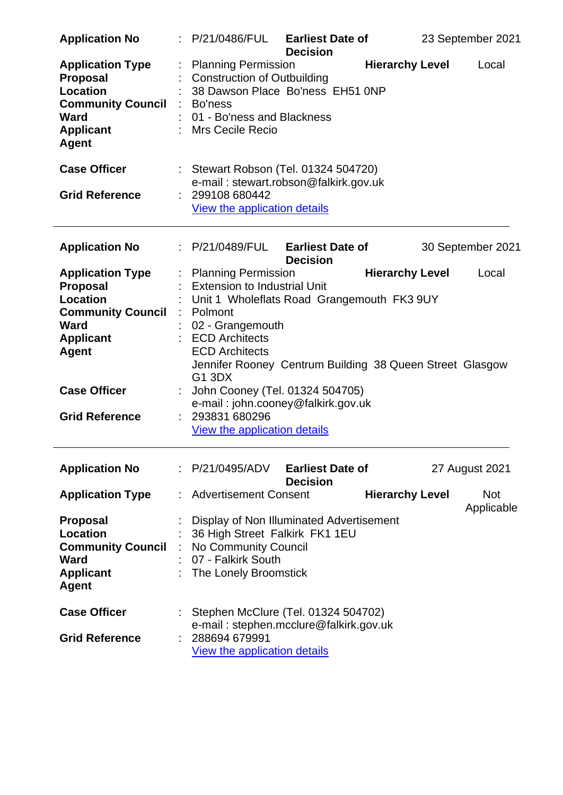| <b>Application No</b>                                                                                                                        | : P/21/0486/FUL                                                                                                                                                                                                                                                        | <b>Earliest Date of</b><br><b>Decision</b> |                        | 23 September 2021        |
|----------------------------------------------------------------------------------------------------------------------------------------------|------------------------------------------------------------------------------------------------------------------------------------------------------------------------------------------------------------------------------------------------------------------------|--------------------------------------------|------------------------|--------------------------|
| <b>Application Type</b><br><b>Proposal</b><br><b>Location</b><br><b>Community Council</b><br><b>Ward</b><br><b>Applicant</b><br><b>Agent</b> | <b>Planning Permission</b><br><b>Construction of Outbuilding</b><br>38 Dawson Place Bo'ness EH51 0NP<br>Bo'ness<br>01 - Bo'ness and Blackness<br><b>Mrs Cecile Recio</b>                                                                                               |                                            | <b>Hierarchy Level</b> | Local                    |
| <b>Case Officer</b>                                                                                                                          | : Stewart Robson (Tel. 01324 504720)<br>e-mail: stewart.robson@falkirk.gov.uk                                                                                                                                                                                          |                                            |                        |                          |
| <b>Grid Reference</b>                                                                                                                        | 299108 680442<br><b>View the application details</b>                                                                                                                                                                                                                   |                                            |                        |                          |
| <b>Application No</b>                                                                                                                        | : P/21/0489/FUL                                                                                                                                                                                                                                                        | <b>Earliest Date of</b><br><b>Decision</b> |                        | 30 September 2021        |
| <b>Application Type</b><br><b>Proposal</b><br><b>Location</b><br><b>Community Council</b><br><b>Ward</b><br><b>Applicant</b><br><b>Agent</b> | <b>Planning Permission</b><br><b>Extension to Industrial Unit</b><br>Unit 1 Wholeflats Road Grangemouth FK3 9UY<br>Polmont<br>02 - Grangemouth<br><b>ECD Architects</b><br><b>ECD Architects</b><br>Jennifer Rooney Centrum Building 38 Queen Street Glasgow<br>G1 3DX |                                            | <b>Hierarchy Level</b> | Local                    |
| <b>Case Officer</b>                                                                                                                          | John Cooney (Tel. 01324 504705)<br>e-mail: john.cooney@falkirk.gov.uk                                                                                                                                                                                                  |                                            |                        |                          |
| <b>Grid Reference</b>                                                                                                                        | 293831 680296<br>View the application details                                                                                                                                                                                                                          |                                            |                        |                          |
| <b>Application No</b>                                                                                                                        | : P/21/0495/ADV                                                                                                                                                                                                                                                        | <b>Earliest Date of</b><br><b>Decision</b> |                        | 27 August 2021           |
| <b>Application Type</b>                                                                                                                      | <b>Advertisement Consent</b>                                                                                                                                                                                                                                           |                                            | <b>Hierarchy Level</b> | <b>Not</b><br>Applicable |
| <b>Proposal</b><br><b>Location</b><br><b>Community Council</b><br><b>Ward</b><br><b>Applicant</b><br><b>Agent</b>                            | Display of Non Illuminated Advertisement<br>36 High Street Falkirk FK1 1EU<br>No Community Council<br>07 - Falkirk South<br>The Lonely Broomstick                                                                                                                      |                                            |                        |                          |
| <b>Case Officer</b><br><b>Grid Reference</b>                                                                                                 | Stephen McClure (Tel. 01324 504702)<br>e-mail: stephen.mcclure@falkirk.gov.uk<br>288694 679991<br>View the application details                                                                                                                                         |                                            |                        |                          |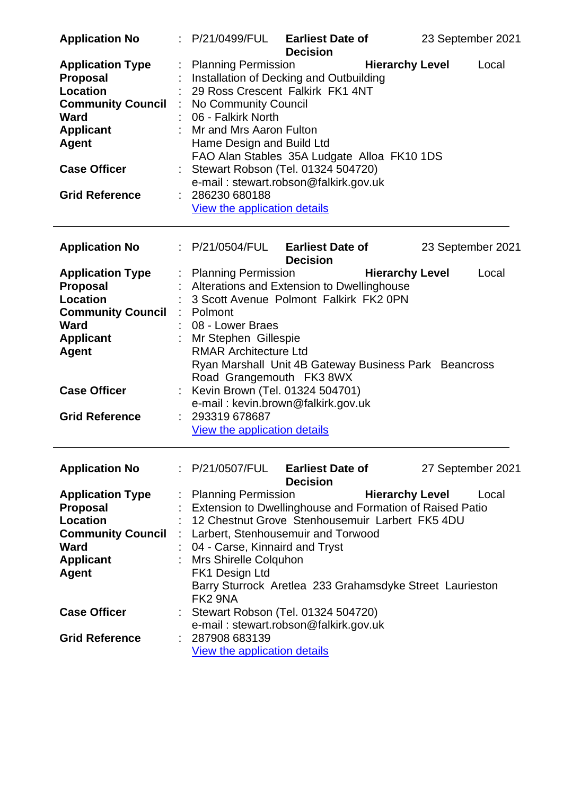| <b>Application No</b>                                                                                                                                                                        | : P/21/0499/FUL                                                                                                                                                                                                                    | <b>Earliest Date of</b><br><b>Decision</b>                                                                                                                              |                        | 23 September 2021 |       |
|----------------------------------------------------------------------------------------------------------------------------------------------------------------------------------------------|------------------------------------------------------------------------------------------------------------------------------------------------------------------------------------------------------------------------------------|-------------------------------------------------------------------------------------------------------------------------------------------------------------------------|------------------------|-------------------|-------|
| <b>Application Type</b><br><b>Proposal</b><br><b>Location</b><br><b>Community Council</b><br><b>Ward</b><br><b>Applicant</b><br><b>Agent</b><br><b>Case Officer</b><br><b>Grid Reference</b> | <b>Planning Permission</b><br>29 Ross Crescent Falkirk FK1 4NT<br>No Community Council<br>06 - Falkirk North<br>Mr and Mrs Aaron Fulton<br>Hame Design and Build Ltd<br>286230 680188                                              | Installation of Decking and Outbuilding<br>FAO Alan Stables 35A Ludgate Alloa FK10 1DS<br>Stewart Robson (Tel. 01324 504720)<br>e-mail: stewart.robson@falkirk.gov.uk   | <b>Hierarchy Level</b> |                   | Local |
|                                                                                                                                                                                              | View the application details                                                                                                                                                                                                       |                                                                                                                                                                         |                        |                   |       |
| <b>Application No</b>                                                                                                                                                                        | : P/21/0504/FUL Earliest Date of                                                                                                                                                                                                   | <b>Decision</b>                                                                                                                                                         |                        | 23 September 2021 |       |
| <b>Application Type</b><br>Proposal<br>Location<br><b>Community Council</b><br><b>Ward</b><br><b>Applicant</b><br><b>Agent</b>                                                               | : Planning Permission<br>Alterations and Extension to Dwellinghouse<br>3 Scott Avenue Polmont Falkirk FK2 0PN<br>: Polmont<br>08 - Lower Braes<br>Mr Stephen Gillespie<br><b>RMAR Architecture Ltd</b><br>Road Grangemouth FK3 8WX | Ryan Marshall Unit 4B Gateway Business Park Beancross                                                                                                                   | <b>Hierarchy Level</b> |                   | Local |
| <b>Case Officer</b>                                                                                                                                                                          | Kevin Brown (Tel. 01324 504701)                                                                                                                                                                                                    | e-mail: kevin.brown@falkirk.gov.uk                                                                                                                                      |                        |                   |       |
| <b>Grid Reference</b>                                                                                                                                                                        | 293319 678687<br>View the application details                                                                                                                                                                                      |                                                                                                                                                                         |                        |                   |       |
| <b>Application No</b>                                                                                                                                                                        | $\therefore$ P/21/0507/FUL Earliest Date of                                                                                                                                                                                        | <b>Decision</b>                                                                                                                                                         |                        | 27 September 2021 |       |
| <b>Application Type</b><br><b>Proposal</b><br><b>Location</b><br><b>Community Council</b><br><b>Ward</b><br><b>Applicant</b><br><b>Agent</b>                                                 | <b>Planning Permission</b><br>Larbert, Stenhousemuir and Torwood<br>04 - Carse, Kinnaird and Tryst<br>Mrs Shirelle Colquhon<br>FK1 Design Ltd<br>FK <sub>2</sub> 9NA                                                               | Extension to Dwellinghouse and Formation of Raised Patio<br>12 Chestnut Grove Stenhousemuir Larbert FK5 4DU<br>Barry Sturrock Aretlea 233 Grahamsdyke Street Laurieston | <b>Hierarchy Level</b> |                   | Local |
| <b>Case Officer</b>                                                                                                                                                                          |                                                                                                                                                                                                                                    | Stewart Robson (Tel. 01324 504720)<br>e-mail: stewart.robson@falkirk.gov.uk                                                                                             |                        |                   |       |
| <b>Grid Reference</b>                                                                                                                                                                        | 287908 683139<br>View the application details                                                                                                                                                                                      |                                                                                                                                                                         |                        |                   |       |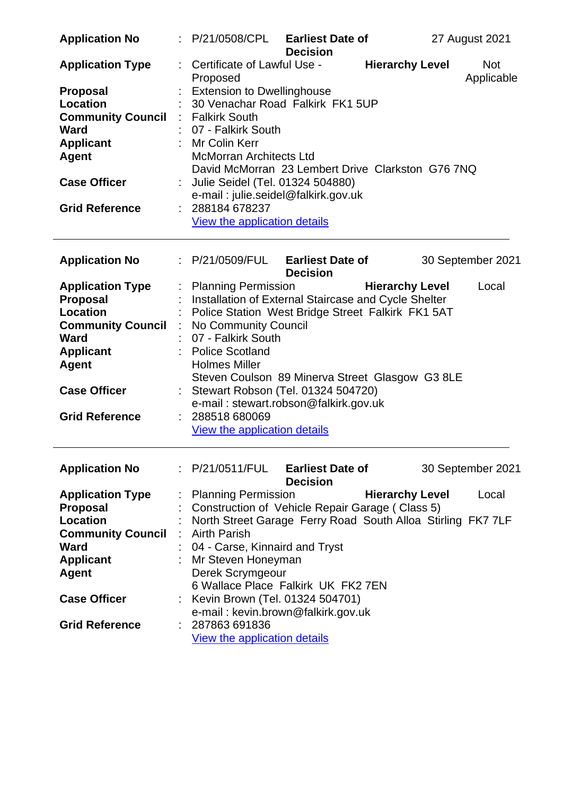| <b>Application No</b>    |                    | : P/21/0508/CPL                                             | <b>Earliest Date of</b><br><b>Decision</b> |                        | 27 August 2021           |
|--------------------------|--------------------|-------------------------------------------------------------|--------------------------------------------|------------------------|--------------------------|
| <b>Application Type</b>  |                    | Certificate of Lawful Use -<br>Proposed                     |                                            | <b>Hierarchy Level</b> | <b>Not</b><br>Applicable |
| <b>Proposal</b>          |                    | <b>Extension to Dwellinghouse</b>                           |                                            |                        |                          |
| Location                 |                    | 30 Venachar Road Falkirk FK1 5UP                            |                                            |                        |                          |
| <b>Community Council</b> |                    | : Falkirk South                                             |                                            |                        |                          |
| <b>Ward</b>              |                    | 07 - Falkirk South                                          |                                            |                        |                          |
| <b>Applicant</b>         |                    | : Mr Colin Kerr                                             |                                            |                        |                          |
| <b>Agent</b>             |                    | <b>McMorran Architects Ltd</b>                              |                                            |                        |                          |
|                          |                    | David McMorran 23 Lembert Drive Clarkston G76 7NQ           |                                            |                        |                          |
| <b>Case Officer</b>      |                    | Julie Seidel (Tel. 01324 504880)                            |                                            |                        |                          |
|                          |                    | e-mail: julie.seidel@falkirk.gov.uk                         |                                            |                        |                          |
| <b>Grid Reference</b>    |                    | : 288184678237                                              |                                            |                        |                          |
|                          |                    | View the application details                                |                                            |                        |                          |
| <b>Application No</b>    |                    | : P/21/0509/FUL Earliest Date of                            |                                            |                        | 30 September 2021        |
|                          |                    |                                                             | <b>Decision</b>                            |                        |                          |
| <b>Application Type</b>  |                    | <b>Planning Permission</b>                                  |                                            | <b>Hierarchy Level</b> | Local                    |
| <b>Proposal</b>          |                    | Installation of External Staircase and Cycle Shelter        |                                            |                        |                          |
| Location                 |                    | Police Station West Bridge Street Falkirk FK1 5AT           |                                            |                        |                          |
| <b>Community Council</b> | $\sim 10$          | No Community Council                                        |                                            |                        |                          |
| <b>Ward</b>              |                    | 07 - Falkirk South                                          |                                            |                        |                          |
| <b>Applicant</b>         |                    | <b>Police Scotland</b>                                      |                                            |                        |                          |
| <b>Agent</b>             |                    | <b>Holmes Miller</b>                                        |                                            |                        |                          |
|                          |                    | Steven Coulson 89 Minerva Street Glasgow G3 8LE             |                                            |                        |                          |
| <b>Case Officer</b>      |                    | Stewart Robson (Tel. 01324 504720)                          |                                            |                        |                          |
|                          |                    | e-mail: stewart.robson@falkirk.gov.uk                       |                                            |                        |                          |
| <b>Grid Reference</b>    |                    | 288518 680069                                               |                                            |                        |                          |
|                          |                    | View the application details                                |                                            |                        |                          |
| <b>Application No</b>    |                    | : P/21/0511/FUL                                             | <b>Earliest Date of</b>                    |                        | 30 September 2021        |
|                          |                    |                                                             | <b>Decision</b>                            |                        |                          |
| <b>Application Type</b>  |                    | <b>Planning Permission</b>                                  |                                            | <b>Hierarchy Level</b> | Local                    |
| <b>Proposal</b>          |                    | Construction of Vehicle Repair Garage (Class 5)             |                                            |                        |                          |
| Location                 |                    | North Street Garage Ferry Road South Alloa Stirling FK7 7LF |                                            |                        |                          |
| <b>Community Council</b> | $\dot{\mathbb{I}}$ | <b>Airth Parish</b>                                         |                                            |                        |                          |
| <b>Ward</b>              |                    | 04 - Carse, Kinnaird and Tryst                              |                                            |                        |                          |
| <b>Applicant</b>         |                    | Mr Steven Honeyman                                          |                                            |                        |                          |
| <b>Agent</b>             |                    | Derek Scrymgeour                                            |                                            |                        |                          |
|                          |                    | 6 Wallace Place Falkirk UK FK2 7EN                          |                                            |                        |                          |
| <b>Case Officer</b>      |                    | : Kevin Brown (Tel. 01324 504701)                           |                                            |                        |                          |
|                          |                    | e-mail: kevin.brown@falkirk.gov.uk                          |                                            |                        |                          |
| <b>Grid Reference</b>    |                    | : 287863 691836                                             |                                            |                        |                          |
|                          |                    | View the application details                                |                                            |                        |                          |
|                          |                    |                                                             |                                            |                        |                          |